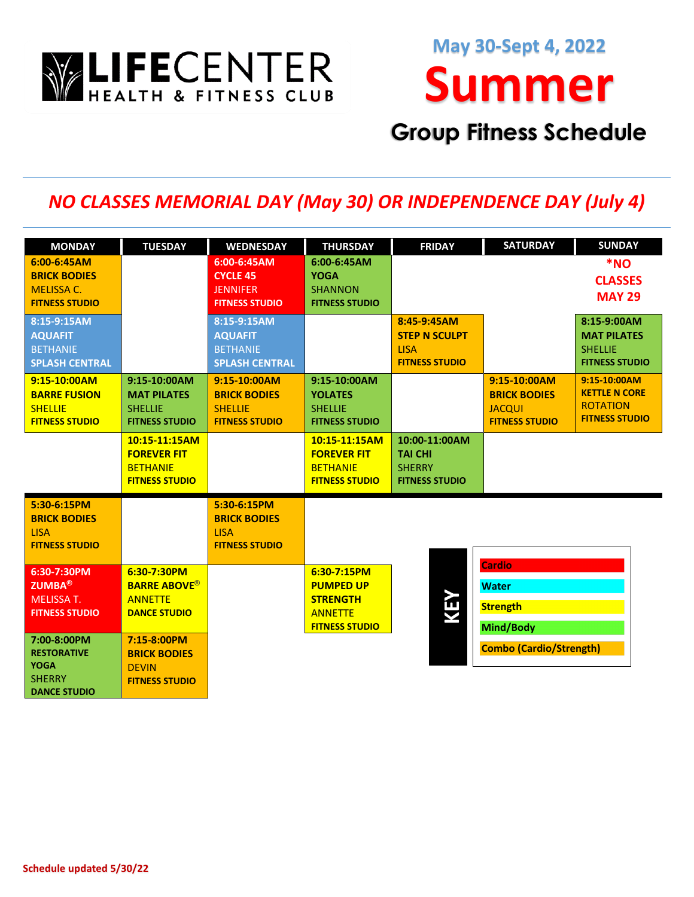

**May 30-Sept 4, 2022**

## **Summer**

## **Group Fitness Schedule**

## *NO CLASSES MEMORIAL DAY (May 30) OR INDEPENDENCE DAY (July 4)*

| <b>MONDAY</b>                                                                            | <b>TUESDAY</b>                                                                         | <b>WEDNESDAY</b>                                                               | <b>THURSDAY</b>                                                                               | <b>FRIDAY</b>                                                               | <b>SATURDAY</b>                                                               | <b>SUNDAY</b>                                                                    |
|------------------------------------------------------------------------------------------|----------------------------------------------------------------------------------------|--------------------------------------------------------------------------------|-----------------------------------------------------------------------------------------------|-----------------------------------------------------------------------------|-------------------------------------------------------------------------------|----------------------------------------------------------------------------------|
| $6:00 - 6:45$ AM<br><b>BRICK BODIES</b><br><b>MELISSA C.</b><br><b>FITNESS STUDIO</b>    |                                                                                        | 6:00-6:45AM<br><b>CYCLE 45</b><br><b>JENNIFER</b><br><b>FITNESS STUDIO</b>     | 6:00-6:45AM<br><b>YOGA</b><br><b>SHANNON</b><br><b>FITNESS STUDIO</b>                         |                                                                             |                                                                               | *NO<br><b>CLASSES</b><br><b>MAY 29</b>                                           |
| 8:15-9:15AM<br><b>AQUAFIT</b><br><b>BETHANIE</b><br><b>SPLASH CENTRAL</b>                |                                                                                        | 8:15-9:15AM<br><b>AQUAFIT</b><br><b>BETHANIE</b><br><b>SPLASH CENTRAL</b>      |                                                                                               | 8:45-9:45AM<br><b>STEP N SCULPT</b><br><b>LISA</b><br><b>FITNESS STUDIO</b> |                                                                               | 8:15-9:00AM<br><b>MAT PILATES</b><br><b>SHELLIE</b><br><b>FITNESS STUDIO</b>     |
| 9:15-10:00AM<br><b>BARRE FUSION</b><br><b>SHELLIE</b><br><b>FITNESS STUDIO</b>           | 9:15-10:00AM<br><b>MAT PILATES</b><br><b>SHELLIE</b><br><b>FITNESS STUDIO</b>          | 9:15-10:00AM<br><b>BRICK BODIES</b><br><b>SHELLIE</b><br><b>FITNESS STUDIO</b> | 9:15-10:00AM<br><b>YOLATES</b><br><b>SHELLIE</b><br><b>FITNESS STUDIO</b>                     |                                                                             | 9:15-10:00AM<br><b>BRICK BODIES</b><br><b>JACQUI</b><br><b>FITNESS STUDIO</b> | 9:15-10:00AM<br><b>KETTLE N CORE</b><br><b>ROTATION</b><br><b>FITNESS STUDIO</b> |
|                                                                                          | 10:15-11:15AM<br><b>FOREVER FIT</b><br><b>BETHANIE</b><br><b>FITNESS STUDIO</b>        |                                                                                | 10:15-11:15AM<br><b>FOREVER FIT</b><br><b>BETHANIE</b><br><b>FITNESS STUDIO</b>               | 10:00-11:00AM<br><b>TAI CHI</b><br><b>SHERRY</b><br><b>FITNESS STUDIO</b>   |                                                                               |                                                                                  |
| 5:30-6:15PM<br><b>BRICK BODIES</b><br><b>LISA</b><br><b>FITNESS STUDIO</b>               |                                                                                        | 5:30-6:15PM<br><b>BRICK BODIES</b><br><b>LISA</b><br><b>FITNESS STUDIO</b>     |                                                                                               |                                                                             |                                                                               |                                                                                  |
| 6:30-7:30PM<br>$ZUMBA^@$<br><b>MELISSA T.</b><br><b>FITNESS STUDIO</b>                   | 6:30-7:30PM<br><b>BARRE ABOVE<sup>®</sup></b><br><b>ANNETTE</b><br><b>DANCE STUDIO</b> |                                                                                | 6:30-7:15PM<br><b>PUMPED UP</b><br><b>STRENGTH</b><br><b>ANNETTE</b><br><b>FITNESS STUDIO</b> | λEλ                                                                         | <b>Cardio</b><br><b>Water</b><br><b>Strength</b><br><b>Mind/Body</b>          |                                                                                  |
| 7:00-8:00PM<br><b>RESTORATIVE</b><br><b>YOGA</b><br><b>SHERRY</b><br><b>DANCE STUDIO</b> | 7:15-8:00PM<br><b>BRICK BODIES</b><br><b>DEVIN</b><br><b>FITNESS STUDIO</b>            |                                                                                |                                                                                               |                                                                             | <b>Combo (Cardio/Strength)</b>                                                |                                                                                  |